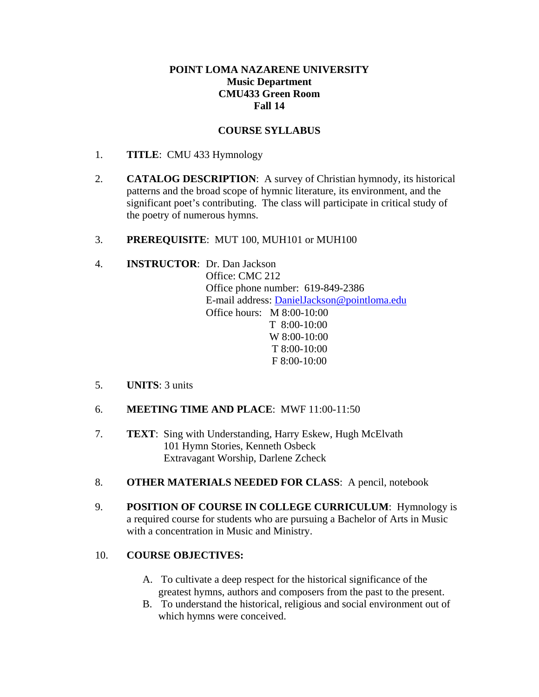#### **POINT LOMA NAZARENE UNIVERSITY Music Department CMU433 Green Room Fall 14**

#### **COURSE SYLLABUS**

- 1. **TITLE**: CMU 433 Hymnology
- 2. **CATALOG DESCRIPTION**: A survey of Christian hymnody, its historical patterns and the broad scope of hymnic literature, its environment, and the significant poet's contributing. The class will participate in critical study of the poetry of numerous hymns.
- 3. **PREREQUISITE**: MUT 100, MUH101 or MUH100

### 4. **INSTRUCTOR**: Dr. Dan Jackson

Office: CMC 212 Office phone number: 619-849-2386 E-mail address: DanielJackson@pointloma.edu Office hours: M 8:00-10:00 T 8:00-10:00 W 8:00-10:00 T 8:00-10:00 F 8:00-10:00

- 5. **UNITS**: 3 units
- 6. **MEETING TIME AND PLACE**: MWF 11:00-11:50
- 7. **TEXT**: Sing with Understanding, Harry Eskew, Hugh McElvath 101 Hymn Stories, Kenneth Osbeck Extravagant Worship, Darlene Zcheck
- 8. **OTHER MATERIALS NEEDED FOR CLASS**: A pencil, notebook
- 9. **POSITION OF COURSE IN COLLEGE CURRICULUM**: Hymnology is a required course for students who are pursuing a Bachelor of Arts in Music with a concentration in Music and Ministry.

#### 10. **COURSE OBJECTIVES:**

- A. To cultivate a deep respect for the historical significance of the greatest hymns, authors and composers from the past to the present.
- B. To understand the historical, religious and social environment out of which hymns were conceived.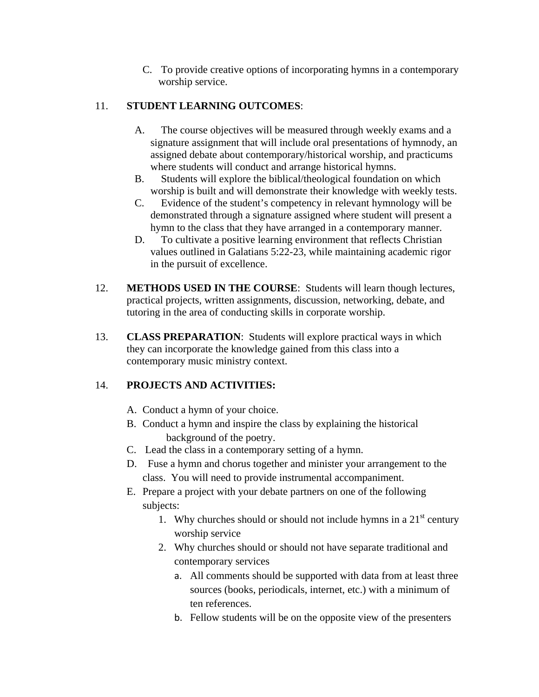C. To provide creative options of incorporating hymns in a contemporary worship service.

### 11. **STUDENT LEARNING OUTCOMES**:

- A. The course objectives will be measured through weekly exams and a signature assignment that will include oral presentations of hymnody, an assigned debate about contemporary/historical worship, and practicums where students will conduct and arrange historical hymns.
- B. Students will explore the biblical/theological foundation on which worship is built and will demonstrate their knowledge with weekly tests.
- C. Evidence of the student's competency in relevant hymnology will be demonstrated through a signature assigned where student will present a hymn to the class that they have arranged in a contemporary manner.
- D. To cultivate a positive learning environment that reflects Christian values outlined in Galatians 5:22-23, while maintaining academic rigor in the pursuit of excellence.
- 12. **METHODS USED IN THE COURSE**: Students will learn though lectures, practical projects, written assignments, discussion, networking, debate, and tutoring in the area of conducting skills in corporate worship.
- 13. **CLASS PREPARATION**: Students will explore practical ways in which they can incorporate the knowledge gained from this class into a contemporary music ministry context.

# 14. **PROJECTS AND ACTIVITIES:**

- A. Conduct a hymn of your choice.
- B. Conduct a hymn and inspire the class by explaining the historical background of the poetry.
- C. Lead the class in a contemporary setting of a hymn.
- D. Fuse a hymn and chorus together and minister your arrangement to the class. You will need to provide instrumental accompaniment.
- E. Prepare a project with your debate partners on one of the following subjects:
	- 1. Why churches should or should not include hymns in a  $21<sup>st</sup>$  century worship service
	- 2. Why churches should or should not have separate traditional and contemporary services
		- a. All comments should be supported with data from at least three sources (books, periodicals, internet, etc.) with a minimum of ten references.
		- b. Fellow students will be on the opposite view of the presenters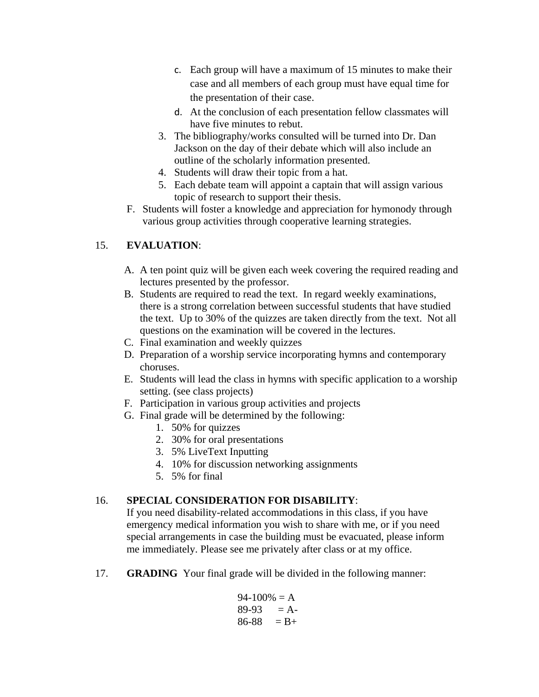- c. Each group will have a maximum of 15 minutes to make their case and all members of each group must have equal time for the presentation of their case.
- d. At the conclusion of each presentation fellow classmates will have five minutes to rebut.
- 3. The bibliography/works consulted will be turned into Dr. Dan Jackson on the day of their debate which will also include an outline of the scholarly information presented.
- 4. Students will draw their topic from a hat.
- 5. Each debate team will appoint a captain that will assign various topic of research to support their thesis.
- F. Students will foster a knowledge and appreciation for hymonody through various group activities through cooperative learning strategies.

## 15. **EVALUATION**:

- A. A ten point quiz will be given each week covering the required reading and lectures presented by the professor.
- B. Students are required to read the text. In regard weekly examinations, there is a strong correlation between successful students that have studied the text. Up to 30% of the quizzes are taken directly from the text. Not all questions on the examination will be covered in the lectures.
- C. Final examination and weekly quizzes
- D. Preparation of a worship service incorporating hymns and contemporary choruses.
- E. Students will lead the class in hymns with specific application to a worship setting. (see class projects)
- F. Participation in various group activities and projects
- G. Final grade will be determined by the following:
	- 1. 50% for quizzes
	- 2. 30% for oral presentations
	- 3. 5% LiveText Inputting
	- 4. 10% for discussion networking assignments
	- 5. 5% for final

### 16. **SPECIAL CONSIDERATION FOR DISABILITY**:

If you need disability-related accommodations in this class, if you have emergency medical information you wish to share with me, or if you need special arrangements in case the building must be evacuated, please inform me immediately. Please see me privately after class or at my office.

17. **GRADING** Your final grade will be divided in the following manner:

94-100% = A 89-93 = A-86-88 = B+